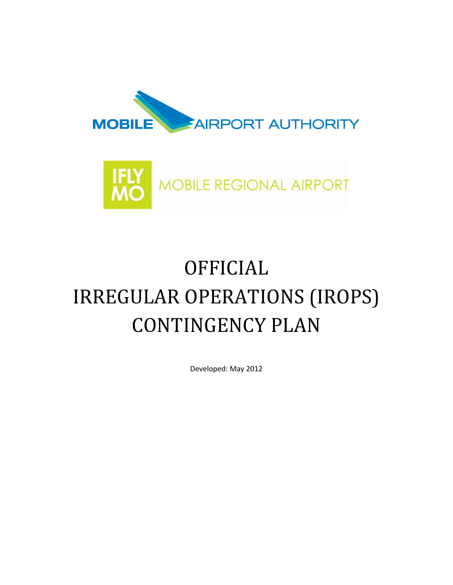



# OFFICIAL IRREGULAR OPERATIONS (IROPS) CONTINGENCY PLAN

Developed: May 2012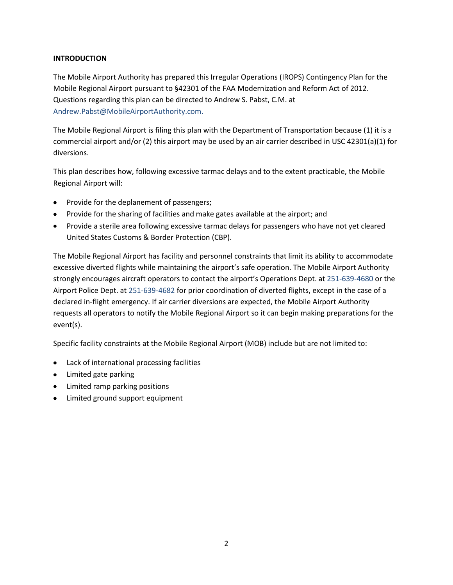## **INTRODUCTION**

The Mobile Airport Authority has prepared this Irregular Operations (IROPS) Contingency Plan for the Mobile Regional Airport pursuant to §42301 of the FAA Modernization and Reform Act of 2012. Questions regarding this plan can be directed to Andrew S. Pabst, C.M. at Andrew.Pabst@MobileAirportAuthority.com.

The Mobile Regional Airport is filing this plan with the Department of Transportation because (1) it is a commercial airport and/or (2) this airport may be used by an air carrier described in USC 42301(a)(1) for diversions.

This plan describes how, following excessive tarmac delays and to the extent practicable, the Mobile Regional Airport will:

- Provide for the deplanement of passengers;
- Provide for the sharing of facilities and make gates available at the airport; and
- Provide a sterile area following excessive tarmac delays for passengers who have not yet cleared United States Customs & Border Protection (CBP).

The Mobile Regional Airport has facility and personnel constraints that limit its ability to accommodate excessive diverted flights while maintaining the airport's safe operation. The Mobile Airport Authority strongly encourages aircraft operators to contact the airport's Operations Dept. at 251-639-4680 or the Airport Police Dept. at 251-639-4682 for prior coordination of diverted flights, except in the case of a declared in-flight emergency. If air carrier diversions are expected, the Mobile Airport Authority requests all operators to notify the Mobile Regional Airport so it can begin making preparations for the event(s).

Specific facility constraints at the Mobile Regional Airport (MOB) include but are not limited to:

- Lack of international processing facilities
- Limited gate parking
- Limited ramp parking positions
- Limited ground support equipment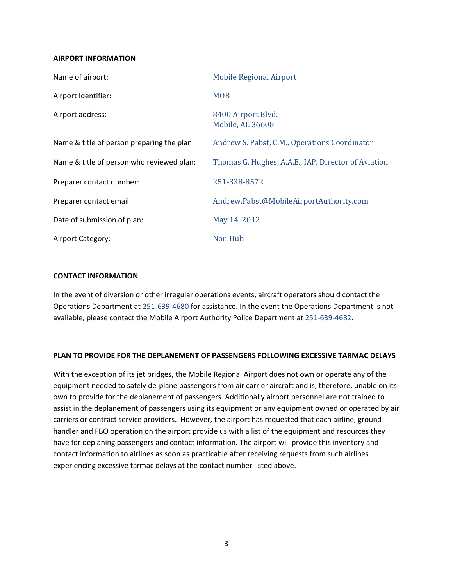#### **AIRPORT INFORMATION**

| Name of airport:                           | <b>Mobile Regional Airport</b>                      |
|--------------------------------------------|-----------------------------------------------------|
| Airport Identifier:                        | <b>MOB</b>                                          |
| Airport address:                           | 8400 Airport Blvd.<br>Mobile, AL 36608              |
| Name & title of person preparing the plan: | Andrew S. Pabst, C.M., Operations Coordinator       |
| Name & title of person who reviewed plan:  | Thomas G. Hughes, A.A.E., IAP, Director of Aviation |
| Preparer contact number:                   | 251-338-8572                                        |
| Preparer contact email:                    | Andrew.Pabst@MobileAirportAuthority.com             |
| Date of submission of plan:                | May 14, 2012                                        |
| Airport Category:                          | <b>Non Hub</b>                                      |

#### **CONTACT INFORMATION**

In the event of diversion or other irregular operations events, aircraft operators should contact the Operations Department at 251-639-4680 for assistance. In the event the Operations Department is not available, please contact the Mobile Airport Authority Police Department at 251-639-4682.

### **PLAN TO PROVIDE FOR THE DEPLANEMENT OF PASSENGERS FOLLOWING EXCESSIVE TARMAC DELAYS**

With the exception of its jet bridges, the Mobile Regional Airport does not own or operate any of the equipment needed to safely de-plane passengers from air carrier aircraft and is, therefore, unable on its own to provide for the deplanement of passengers. Additionally airport personnel are not trained to assist in the deplanement of passengers using its equipment or any equipment owned or operated by air carriers or contract service providers. However, the airport has requested that each airline, ground handler and FBO operation on the airport provide us with a list of the equipment and resources they have for deplaning passengers and contact information. The airport will provide this inventory and contact information to airlines as soon as practicable after receiving requests from such airlines experiencing excessive tarmac delays at the contact number listed above.